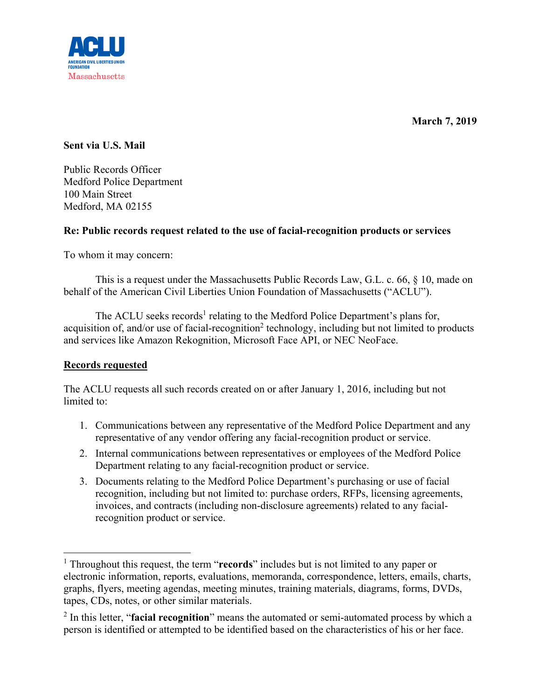

**March 7, 2019** 

**Sent via U.S. Mail** 

Public Records Officer Medford Police Department 100 Main Street Medford, MA 02155

## **Re: Public records request related to the use of facial-recognition products or services**

To whom it may concern:

This is a request under the Massachusetts Public Records Law, G.L. c. 66, § 10, made on behalf of the American Civil Liberties Union Foundation of Massachusetts ("ACLU").

The ACLU seeks records<sup>1</sup> relating to the Medford Police Department's plans for, acquisition of, and/or use of facial-recognition<sup>2</sup> technology, including but not limited to products and services like Amazon Rekognition, Microsoft Face API, or NEC NeoFace.

## **Records requested**

The ACLU requests all such records created on or after January 1, 2016, including but not limited to:

- 1. Communications between any representative of the Medford Police Department and any representative of any vendor offering any facial-recognition product or service.
- 2. Internal communications between representatives or employees of the Medford Police Department relating to any facial-recognition product or service.
- 3. Documents relating to the Medford Police Department's purchasing or use of facial recognition, including but not limited to: purchase orders, RFPs, licensing agreements, invoices, and contracts (including non-disclosure agreements) related to any facialrecognition product or service.

<sup>&</sup>lt;sup>1</sup> Throughout this request, the term "**records**" includes but is not limited to any paper or electronic information, reports, evaluations, memoranda, correspondence, letters, emails, charts, graphs, flyers, meeting agendas, meeting minutes, training materials, diagrams, forms, DVDs, tapes, CDs, notes, or other similar materials.

<sup>2</sup> In this letter, "**facial recognition**" means the automated or semi-automated process by which a person is identified or attempted to be identified based on the characteristics of his or her face.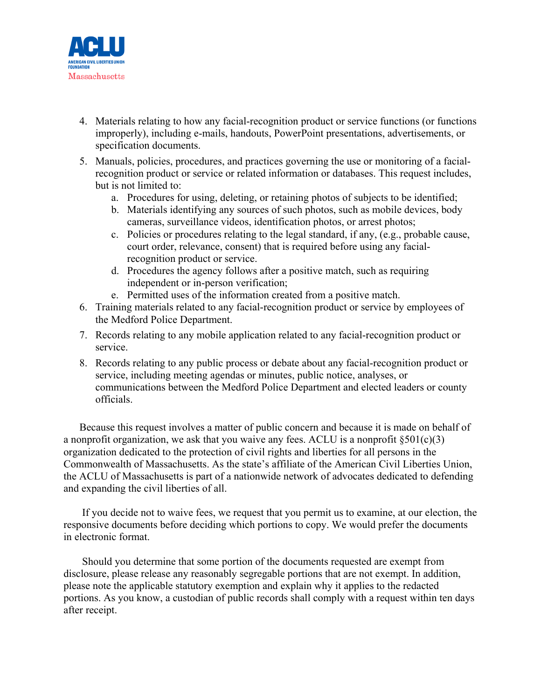

- 4. Materials relating to how any facial-recognition product or service functions (or functions improperly), including e-mails, handouts, PowerPoint presentations, advertisements, or specification documents.
- 5. Manuals, policies, procedures, and practices governing the use or monitoring of a facialrecognition product or service or related information or databases. This request includes, but is not limited to:
	- a. Procedures for using, deleting, or retaining photos of subjects to be identified;
	- b. Materials identifying any sources of such photos, such as mobile devices, body cameras, surveillance videos, identification photos, or arrest photos;
	- c. Policies or procedures relating to the legal standard, if any, (e.g., probable cause, court order, relevance, consent) that is required before using any facialrecognition product or service.
	- d. Procedures the agency follows after a positive match, such as requiring independent or in-person verification;
	- e. Permitted uses of the information created from a positive match.
- 6. Training materials related to any facial-recognition product or service by employees of the Medford Police Department.
- 7. Records relating to any mobile application related to any facial-recognition product or service.
- 8. Records relating to any public process or debate about any facial-recognition product or service, including meeting agendas or minutes, public notice, analyses, or communications between the Medford Police Department and elected leaders or county officials.

Because this request involves a matter of public concern and because it is made on behalf of a nonprofit organization, we ask that you waive any fees. ACLU is a nonprofit  $\S501(c)(3)$ organization dedicated to the protection of civil rights and liberties for all persons in the Commonwealth of Massachusetts. As the state's affiliate of the American Civil Liberties Union, the ACLU of Massachusetts is part of a nationwide network of advocates dedicated to defending and expanding the civil liberties of all.

 If you decide not to waive fees, we request that you permit us to examine, at our election, the responsive documents before deciding which portions to copy. We would prefer the documents in electronic format.

 Should you determine that some portion of the documents requested are exempt from disclosure, please release any reasonably segregable portions that are not exempt. In addition, please note the applicable statutory exemption and explain why it applies to the redacted portions. As you know, a custodian of public records shall comply with a request within ten days after receipt.